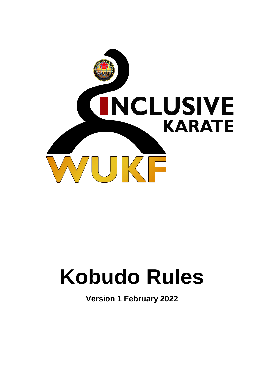

# **Kobudo Rules**

**Version 1 February 2022**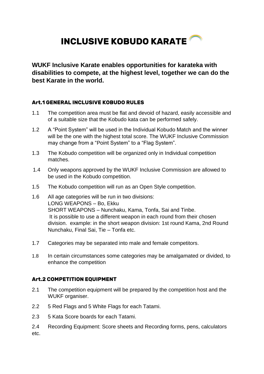## **INCLUSIVE KOBUDO KARATE**

**WUKF Inclusive Karate enables opportunities for karateka with disabilities to compete, at the highest level, together we can do the best Karate in the world.**

#### **Art.1 GENERAL INCLUSIVE KOBUDO RULES**

- 1.1 The competition area must be flat and devoid of hazard, easily accessible and of a suitable size that the Kobudo kata can be performed safely.
- 1.2 A "Point System" will be used in the Individual Kobudo Match and the winner will be the one with the highest total score. The WUKF Inclusive Commission may change from a "Point System" to a "Flag System".
- 1.3 The Kobudo competition will be organized only in Individual competition matches.
- 1.4 Only weapons approved by the WUKF Inclusive Commission are allowed to be used in the Kobudo competition.
- 1.5 The Kobudo competition will run as an Open Style competition.
- 1.6 All age categories will be run in two divisions: LONG WEAPONS – Bo, Ekku SHORT WEAPONS – Nunchaku, Kama, Tonfa, Sai and Tinbe. It is possible to use a different weapon in each round from their chosen division. example: in the short weapon division: 1st round Kama, 2nd Round Nunchaku, Final Sai, Tie – Tonfa etc.
- 1.7 Categories may be separated into male and female competitors.
- 1.8 In certain circumstances some categories may be amalgamated or divided, to enhance the competition

#### **Art.2 COMPETITION EQUIPMENT**

- 2.1 The competition equipment will be prepared by the competition host and the WUKF organiser.
- 2.2 5 Red Flags and 5 White Flags for each Tatami.
- 2.3 5 Kata Score boards for each Tatami.
- 2.4 Recording Equipment: Score sheets and Recording forms, pens, calculators etc.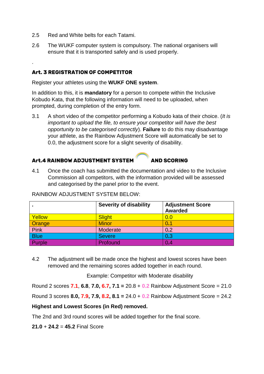- 2.5 Red and White belts for each Tatami.
- 2.6 The WUKF computer system is compulsory. The national organisers will ensure that it is transported safely and is used properly.

#### **Art. 3 REGISTRATION OF COMPETITOR**

.

Register your athletes using the **WUKF ONE system**.

In addition to this, it is **mandatory** for a person to compete within the Inclusive Kobudo Kata, that the following information will need to be uploaded, when prompted, during completion of the entry form.

3.1 A short video of the competitor performing a Kobudo kata of their choice. (*It is important to upload the file, to ensure your competitor will have the best opportunity to be categorised correctly*). **Failure** to do this may disadvantage your athlete, as the Rainbow Adjustment Score will automatically be set to 0.0, the adjustment score for a slight severity of disability.

#### **Art.4 RAINBOW ADJUSTMENT SYSTEM AND SCORING**

4.1 Once the coach has submitted the documentation and video to the Inclusive Commission all competitors, with the information provided will be assessed and categorised by the panel prior to the event.

|             | <b>Severity of disability</b> | <b>Adjustment Score</b><br><b>Awarded</b> |
|-------------|-------------------------------|-------------------------------------------|
| Yellow      | <b>Slight</b>                 | 0.0                                       |
| Orange      | <b>Minor</b>                  | 0.1                                       |
| <b>Pink</b> | Moderate                      | 0.2                                       |
| <b>Blue</b> | <b>Severe</b>                 | 0.3                                       |
| Purple      | Profound                      | 0.4                                       |

RAINBOW ADJUSTMENT SYSTEM BELOW:

4.2 The adjustment will be made once the highest and lowest scores have been removed and the remaining scores added together in each round.

Example: Competitor with Moderate disability

Round 2 scores **7.1**, **6.8**, **7.0, 6.7, 7.1 =** 20.8 + **0.2** Rainbow Adjustment Score = 21.0

Round 3 scores **8.0, 7.9, 7.9, 8.2, 8.1 =** 24.0 + **0.2** Rainbow Adjustment Score = 24.2

#### **Highest and Lowest Scores (in Red) removed.**

The 2nd and 3rd round scores will be added together for the final score.

**21.0** + **24.2** = **45.2** Final Score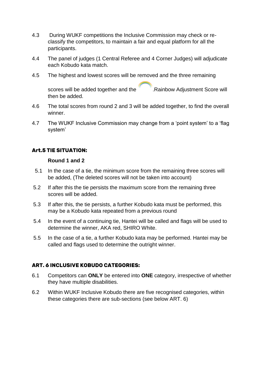- 4.3 During WUKF competitions the Inclusive Commission may check or reclassify the competitors, to maintain a fair and equal platform for all the participants.
- 4.4 The panel of judges (1 Central Referee and 4 Corner Judges) will adjudicate each Kobudo kata match.
- 4.5 The highest and lowest scores will be removed and the three remaining

scores will be added together and the .Rainbow Adjustment Score will then be added.

- 4.6 The total scores from round 2 and 3 will be added together, to find the overall winner.
- 4.7 The WUKF Inclusive Commission may change from a 'point system' to a 'flag system'

#### **Art.5 TIE SITUATION:**

#### **Round 1 and 2**

- 5.1 In the case of a tie, the minimum score from the remaining three scores will be added, (The deleted scores will not be taken into account)
- 5.2 If after this the tie persists the maximum score from the remaining three scores will be added.
- 5.3 If after this, the tie persists, a further Kobudo kata must be performed, this may be a Kobudo kata repeated from a previous round
- 5.4 In the event of a continuing tie, Hantei will be called and flags will be used to determine the winner, AKA red, SHIRO White.
- 5.5 In the case of a tie, a further Kobudo kata may be performed. Hantei may be called and flags used to determine the outright winner.

#### **ART. 6 INCLUSIVE KOBUDO CATEGORIES:**

- 6.1 Competitors can **ONLY** be entered into **ONE** category, irrespective of whether they have multiple disabilities.
- 6.2 Within WUKF Inclusive Kobudo there are five recognised categories, within these categories there are sub-sections (see below ART. 6)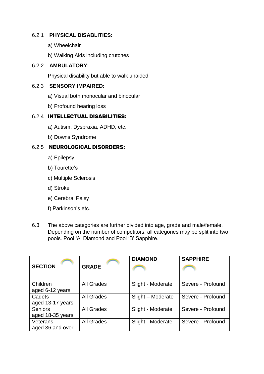#### 6.2.1 **PHYSICAL DISABLITIES:**

- a) Wheelchair
- b) Walking Aids including crutches

#### 6.2.2 **AMBULATORY:**

Physical disability but able to walk unaided

#### 6.2.3 **SENSORY IMPAIRED:**

- a) Visual both monocular and binocular
- b) Profound hearing loss

#### 6.2.4 **INTELLECTUAL DISABILITIES:**

- a) Autism, Dyspraxia, ADHD, etc.
- b) Downs Syndrome

#### 6.2.5 **NEUROLOGICAL DISORDERS:**

- a) Epilepsy
- b) Tourette's
- c) Multiple Sclerosis
- d) Stroke
- e) Cerebral Palsy
- f) Parkinson's etc.
- 6.3 The above categories are further divided into age, grade and male/female. Depending on the number of competitors, all categories may be split into two pools. Pool 'A' Diamond and Pool 'B' Sapphire.

|                  |                   | <b>DIAMOND</b>    | <b>SAPPHIRE</b>   |
|------------------|-------------------|-------------------|-------------------|
| <b>SECTION</b>   | <b>GRADE</b>      |                   |                   |
|                  |                   |                   |                   |
| Children         | <b>All Grades</b> | Slight - Moderate | Severe - Profound |
| aged 6-12 years  |                   |                   |                   |
| Cadets           | <b>All Grades</b> | Slight - Moderate | Severe - Profound |
| aged 13-17 years |                   |                   |                   |
| <b>Seniors</b>   | <b>All Grades</b> | Slight - Moderate | Severe - Profound |
| aged 18-35 years |                   |                   |                   |
| Veterans         | <b>All Grades</b> | Slight - Moderate | Severe - Profound |
| aged 36 and over |                   |                   |                   |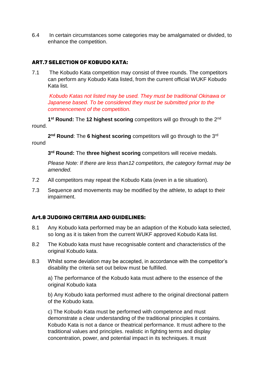6.4 In certain circumstances some categories may be amalgamated or divided, to enhance the competition.

#### **ART.7 SELECTION OF KOBUDO KATA:**

7.1 The Kobudo Kata competition may consist of three rounds. The competitors can perform any Kobudo Kata listed, from the current official WUKF Kobudo Kata list.

*Kobudo Katas not listed may be used. They must be traditional Okinawa or Japanese based. To be considered they must be submitted prior to the commencement of the competition.* 

1<sup>st</sup> Round: The 12 highest scoring competitors will go through to the 2<sup>nd</sup> round.

2<sup>nd</sup> Round: The 6 highest scoring competitors will go through to the 3<sup>rd</sup> round

**3 rd Round:** The **three highest scoring** competitors will receive medals.

*Please Note: If there are less than12 competitors, the category format may be amended.*

- 7.2 All competitors may repeat the Kobudo Kata (even in a tie situation).
- 7.3 Sequence and movements may be modified by the athlete, to adapt to their impairment.

#### **Art.8 JUDGING CRITERIA AND GUIDELINES:**

- 8.1 Any Kobudo kata performed may be an adaption of the Kobudo kata selected, so long as it is taken from the current WUKF approved Kobudo Kata list.
- 8.2 The Kobudo kata must have recognisable content and characteristics of the original Kobudo kata.
- 8.3 Whilst some deviation may be accepted, in accordance with the competitor's disability the criteria set out below must be fulfilled.

a) The performance of the Kobudo kata must adhere to the essence of the original Kobudo kata

b) Any Kobudo kata performed must adhere to the original directional pattern of the Kobudo kata.

c) The Kobudo Kata must be performed with competence and must demonstrate a clear understanding of the traditional principles it contains. Kobudo Kata is not a dance or theatrical performance. It must adhere to the traditional values and principles. realistic in fighting terms and display concentration, power, and potential impact in its techniques. It must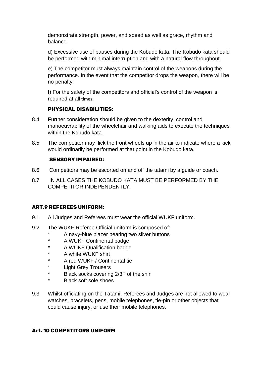demonstrate strength, power, and speed as well as grace, rhythm and balance.

d) Excessive use of pauses during the Kobudo kata. The Kobudo kata should be performed with minimal interruption and with a natural flow throughout.

e) The competitor must always maintain control of the weapons during the performance. In the event that the competitor drops the weapon, there will be no penalty.

f) For the safety of the competitors and official's control of the weapon is required at all times.

#### **PHYSICAL DISABILITIES:**

- 8.4 Further consideration should be given to the dexterity, control and manoeuvrability of the wheelchair and walking aids to execute the techniques within the Kobudo kata.
- 8.5 The competitor may flick the front wheels up in the air to indicate where a kick would ordinarily be performed at that point in the Kobudo kata.

#### **SENSORY IMPAIRED:**

- 8.6 Competitors may be escorted on and off the tatami by a guide or coach.
- 8.7 IN ALL CASES THE KOBUDO KATA MUST BE PERFORMED BY THE COMPETITOR INDEPENDENTLY.

#### **ART.9 REFEREES UNIFORM:**

- 9.1 All Judges and Referees must wear the official WUKF uniform.
- 9.2 The WUKF Referee Official uniform is composed of:
	- A navy-blue blazer bearing two silver buttons
	- A WUKF Continental badge
	- \* A WUKF Qualification badge
	- \* A white WUKF shirt
	- A red WUKF / Continental tie
	- \* Light Grey Trousers
	- \* Black socks covering 2/3<sup>rd</sup> of the shin
	- **Black soft sole shoes**
- 9.3 Whilst officiating on the Tatami, Referees and Judges are not allowed to wear watches, bracelets, pens, mobile telephones, tie-pin or other objects that could cause injury, or use their mobile telephones.

#### **Art. 10 COMPETITORS UNIFORM**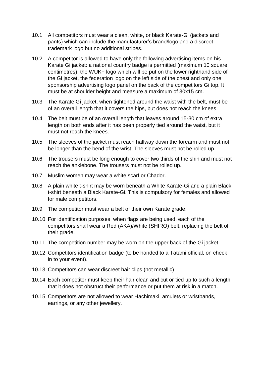- 10.1 All competitors must wear a clean, white, or black Karate-Gi (jackets and pants) which can include the manufacturer's brand/logo and a discreet trademark logo but no additional stripes.
- 10.2 A competitor is allowed to have only the following advertising items on his Karate Gi jacket: a national country badge is permitted (maximum 10 square centimetres), the WUKF logo which will be put on the lower righthand side of the Gi jacket, the federation logo on the left side of the chest and only one sponsorship advertising logo panel on the back of the competitors Gi top. It must be at shoulder height and measure a maximum of 30x15 cm.
- 10.3 The Karate Gi jacket, when tightened around the waist with the belt, must be of an overall length that it covers the hips, but does not reach the knees.
- 10.4 The belt must be of an overall length that leaves around 15-30 cm of extra length on both ends after it has been properly tied around the waist, but it must not reach the knees.
- 10.5 The sleeves of the jacket must reach halfway down the forearm and must not be longer than the bend of the wrist. The sleeves must not be rolled up.
- 10.6 The trousers must be long enough to cover two thirds of the shin and must not reach the anklebone. The trousers must not be rolled up.
- 10.7 Muslim women may wear a white scarf or Chador.
- 10.8 A plain white t-shirt may be worn beneath a White Karate-Gi and a plain Black t-shirt beneath a Black Karate-Gi. This is compulsory for females and allowed for male competitors.
- 10.9 The competitor must wear a belt of their own Karate grade.
- 10.10 For identification purposes, when flags are being used, each of the competitors shall wear a Red (AKA)/White (SHIRO) belt, replacing the belt of their grade.
- 10.11 The competition number may be worn on the upper back of the Gi jacket.
- 10.12 Competitors identification badge (to be handed to a Tatami official, on check in to your event).
- 10.13 Competitors can wear discreet hair clips (not metallic)
- 10.14 Each competitor must keep their hair clean and cut or tied up to such a length that it does not obstruct their performance or put them at risk in a match.
- 10.15 Competitors are not allowed to wear Hachimaki, amulets or wristbands, earrings, or any other jewellery.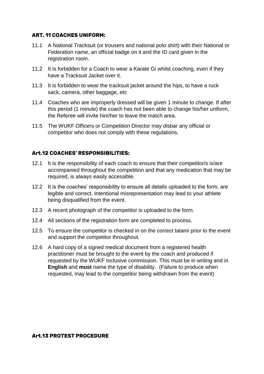#### **ART. 11 COACHES UNIFORM:**

- 11.1 A National Tracksuit (or trousers and national polo shirt) with their National or Federation name, an official badge on it and the ID card given in the registration room.
- 11.2 It is forbidden for a Coach to wear a Karate Gi whilst coaching, even if they have a Tracksuit Jacket over it.
- 11.3 It is forbidden to wear the tracksuit jacket around the hips, to have a ruck sack, camera, other baggage, etc
- 11.4 Coaches who are improperly dressed will be given 1 minute to change. If after this period (1 minute) the coach has not been able to change his/her uniform, the Referee will invite him/her to leave the match area.
- 11.5 The WUKF Officers or Competition Director may disbar any official or competitor who does not comply with these regulations.

#### **Art.12 COACHES' RESPONSIBILITIES:**

- 12.1 It is the responsibility of each coach to ensure that their competitor/s is/are accompanied throughout the competition and that any medication that may be required, is always easily accessible.
- 12.2 It is the coaches' responsibility to ensure all details uploaded to the form, are legible and correct. Intentional misrepresentation may lead to your athlete being disqualified from the event.
- 12.3 A recent photograph of the competitor is uploaded to the form.
- 12.4 All sections of the registration form are completed to process.
- 12.5 To ensure the competitor is checked in on the correct tatami prior to the event and support the competitor throughout.
- 12.6 A hard copy of a signed medical document from a registered health practitioner must be brought to the event by the coach and produced if requested by the WUKF Inclusive commission. This must be in writing and in **English** and **must** name the type of disability. (Failure to produce when requested, may lead to the competitor being withdrawn from the event)

#### **Art.13 PROTEST PROCEDURE**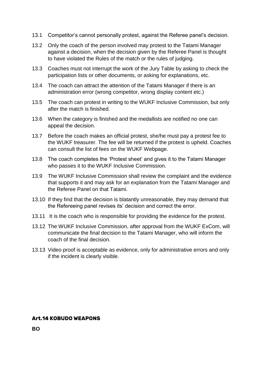- 13.1 Competitor's cannot personally protest, against the Referee panel's decision.
- 13.2 Only the coach of the person involved may protest to the Tatami Manager against a decision, when the decision given by the Referee Panel is thought to have violated the Rules of the match or the rules of judging.
- 13.3 Coaches must not interrupt the work of the Jury Table by asking to check the participation lists or other documents, or asking for explanations, etc.
- 13.4 The coach can attract the attention of the Tatami Manager if there is an administration error (wrong competitor, wrong display content etc.)
- 13.5 The coach can protest in writing to the WUKF Inclusive Commission, but only after the match is finished.
- 13.6 When the category is finished and the medallists are notified no one can appeal the decision.
- 13.7 Before the coach makes an official protest, she/he must pay a protest fee to the WUKF treasurer. The fee will be returned if the protest is upheld. Coaches can consult the list of fees on the WUKF Webpage.
- 13.8 The coach completes the 'Protest sheet' and gives it to the Tatami Manager who passes it to the WUKF Inclusive Commission.
- 13.9 The WUKF Inclusive Commission shall review the complaint and the evidence that supports it and may ask for an explanation from the Tatami Manager and the Referee Panel on that Tatami.
- 13.10 If they find that the decision is blatantly unreasonable, they may demand that the Refereeing panel revises its' decision and correct the error.
- 13.11 It is the coach who is responsible for providing the evidence for the protest.
- 13.12 The WUKF Inclusive Commission, after approval from the WUKF ExCom, will communicate the final decision to the Tatami Manager, who will inform the coach of the final decision.
- 13.13 Video proof is acceptable as evidence, only for administrative errors and only if the incident is clearly visible.

#### **Art.14 KOBUDO WEAPONS**

**BO**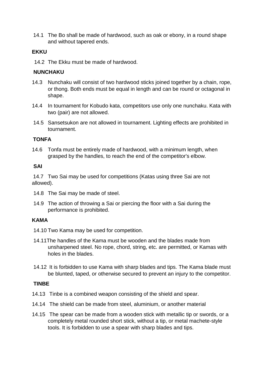14.1 The Bo shall be made of hardwood, such as oak or ebony, in a round shape and without tapered ends.

#### **EKKU**

14.2 The Ekku must be made of hardwood.

#### **NUNCHAKU**

- 14.3 Nunchaku will consist of two hardwood sticks joined together by a chain, rope, or thong. Both ends must be equal in length and can be round or octagonal in shape.
- 14.4 In tournament for Kobudo kata, competitors use only one nunchaku. Kata with two (pair) are not allowed.
- 14.5 Sansetsukon are not allowed in tournament. Lighting effects are prohibited in tournament.

#### **TONFA**

14.6 Tonfa must be entirely made of hardwood, with a minimum length, when grasped by the handles, to reach the end of the competitor's elbow.

#### **SAI**

14.7 Two Sai may be used for competitions (Katas using three Sai are not allowed).

- 14.8 The Sai may be made of steel.
- 14.9 The action of throwing a Sai or piercing the floor with a Sai during the performance is prohibited.

#### **KAMA**

- 14.10 Two Kama may be used for competition.
- 14.11The handles of the Kama must be wooden and the blades made from unsharpened steel. No rope, chord, string, etc. are permitted, or Kamas with holes in the blades.
- 14.12 It is forbidden to use Kama with sharp blades and tips. The Kama blade must be blunted, taped, or otherwise secured to prevent an injury to the competitor.

#### **TINBE**

- 14.13 Tinbe is a combined weapon consisting of the shield and spear.
- 14.14 The shield can be made from steel, aluminium, or another material
- 14.15 The spear can be made from a wooden stick with metallic tip or swords, or a completely metal rounded short stick, without a tip, or metal machete-style tools. It is forbidden to use a spear with sharp blades and tips.